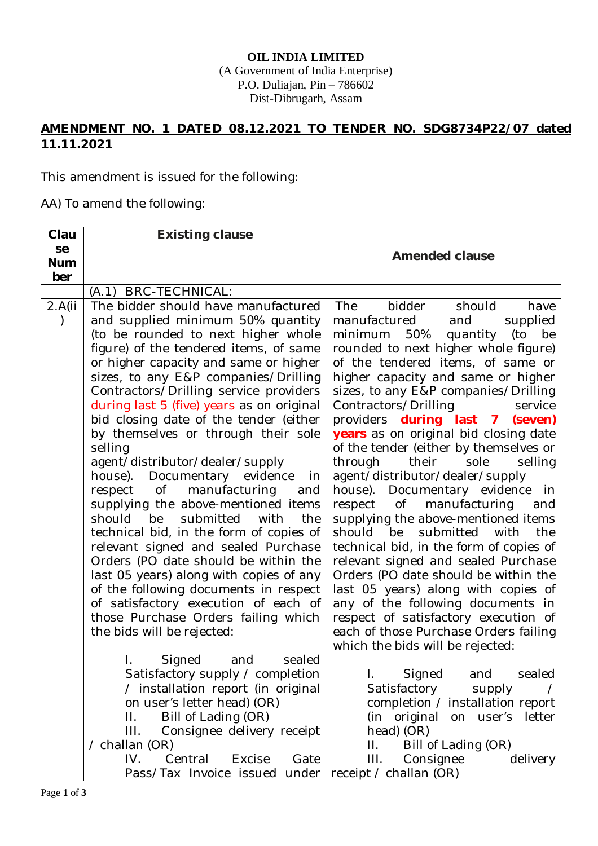## **OIL INDIA LIMITED** (A Government of India Enterprise) P.O. Duliajan, Pin – 786602 Dist-Dibrugarh, Assam

## **AMENDMENT NO. 1 DATED 08.12.2021 TO TENDER NO. SDG8734P22/07 dated 11.11.2021**

This amendment is issued for the following:

AA) To amend the following:

| Clau       | <b>Existing clause</b>                                                |                                                                    |
|------------|-----------------------------------------------------------------------|--------------------------------------------------------------------|
| se         |                                                                       | <b>Amended clause</b>                                              |
| <b>Num</b> |                                                                       |                                                                    |
| ber        |                                                                       |                                                                    |
|            | (A.1) BRC-TECHNICAL:                                                  |                                                                    |
| 2.A(i)     | The bidder should have manufactured                                   | <b>The</b><br>bidder<br>should<br>have                             |
|            | and supplied minimum 50% quantity                                     | manufactured<br>and<br>supplied                                    |
|            | (to be rounded to next higher whole                                   | (to<br>minimum<br>50%<br>quantity<br>be                            |
|            | figure) of the tendered items, of same                                | rounded to next higher whole figure)                               |
|            | or higher capacity and same or higher                                 | of the tendered items, of same or                                  |
|            | sizes, to any E&P companies/Drilling                                  | higher capacity and same or higher                                 |
|            | Contractors/Drilling service providers                                | sizes, to any E&P companies/Drilling                               |
|            | during last 5 (five) years as on original                             | Contractors/Drilling<br>service                                    |
|            | bid closing date of the tender (either                                | providers during last 7 (seven)                                    |
|            | by themselves or through their sole                                   | years as on original bid closing date                              |
|            | selling                                                               | of the tender (either by themselves or<br>their                    |
|            | agent/distributor/dealer/supply                                       | through<br>sole<br>selling                                         |
|            | house). Documentary evidence<br>in<br>respect of manufacturing<br>and | agent/distributor/dealer/supply<br>house). Documentary evidence in |
|            | supplying the above-mentioned items                                   | respect of<br>manufacturing<br>and                                 |
|            | should be<br>submitted<br>with<br>the                                 | supplying the above-mentioned items                                |
|            | technical bid, in the form of copies of                               | should be<br>submitted<br>with<br>the                              |
|            | relevant signed and sealed Purchase                                   | technical bid, in the form of copies of                            |
|            | Orders (PO date should be within the                                  | relevant signed and sealed Purchase                                |
|            | last 05 years) along with copies of any                               | Orders (PO date should be within the                               |
|            | of the following documents in respect                                 | last 05 years) along with copies of                                |
|            | of satisfactory execution of each of                                  | any of the following documents in                                  |
|            | those Purchase Orders failing which                                   | respect of satisfactory execution of                               |
|            | the bids will be rejected:                                            | each of those Purchase Orders failing                              |
|            |                                                                       | which the bids will be rejected:                                   |
|            | Signed<br>and<br>sealed<br>L.                                         |                                                                    |
|            | Satisfactory supply / completion                                      | Signed<br>sealed<br>and<br>Τ.                                      |
|            | / installation report (in original                                    | Satisfactory<br>supply                                             |
|            | on user's letter head) (OR)                                           | completion / installation report                                   |
|            | Bill of Lading (OR)<br>П.                                             | (in original<br>on user's<br>letter                                |
|            | Consignee delivery receipt<br>III.                                    | head) (OR)                                                         |
|            | / challan (OR)                                                        | Bill of Lading (OR)<br>Н.                                          |
|            | IV.<br>Central<br>Excise<br>Gate                                      | III.<br>Consignee<br>delivery                                      |
|            | Pass/Tax Invoice issued under                                         | receipt / challan (OR)                                             |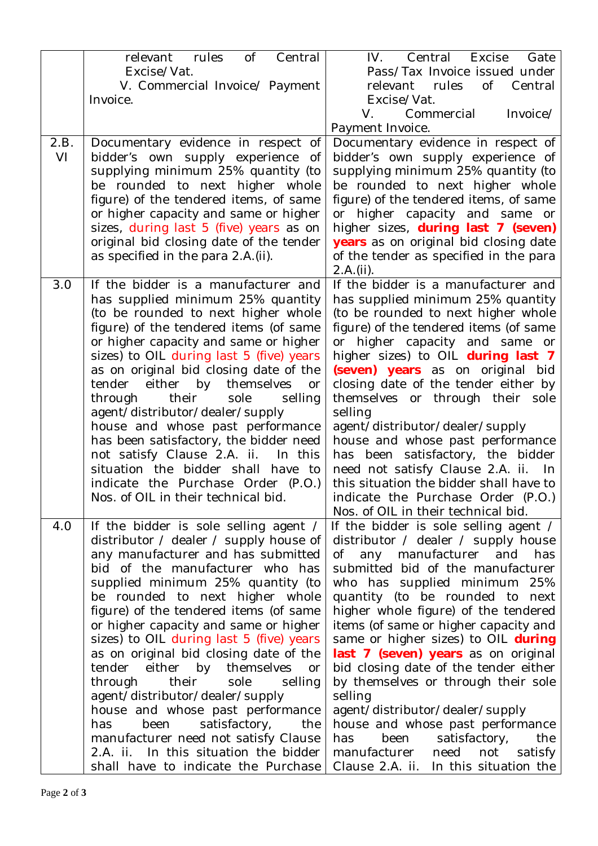| relevant rules<br>$\circ$ of<br>Central<br>IV. Central Excise                                                                                                          | Gate     |
|------------------------------------------------------------------------------------------------------------------------------------------------------------------------|----------|
| Excise/Vat.<br>Pass/Tax Invoice issued under                                                                                                                           |          |
| V. Commercial Invoice/ Payment<br>0f<br>relevant<br>rules<br>Invoice.<br>Excise/Vat.                                                                                   | Central  |
| V.<br>Commercial                                                                                                                                                       | Invoice/ |
| Payment Invoice.                                                                                                                                                       |          |
| Documentary evidence in respect of<br>2.B.<br>Documentary evidence in respect of                                                                                       |          |
| VI<br>bidder's own supply experience of<br>bidder's own supply experience<br>0f                                                                                        |          |
| supplying minimum 25% quantity (to<br>supplying minimum 25% quantity (to                                                                                               |          |
| be rounded to next higher whole<br>be rounded to next higher whole                                                                                                     |          |
| figure) of the tendered items, of same<br>figure) of the tendered items, of same<br>or higher capacity and same or higher<br>or higher capacity and same or            |          |
| sizes, during last 5 (five) years as on<br>higher sizes, during last 7 (seven)                                                                                         |          |
| original bid closing date of the tender<br>years as on original bid closing date                                                                                       |          |
| as specified in the para 2.A.(ii).<br>of the tender as specified in the para                                                                                           |          |
| 2.A.(ii).                                                                                                                                                              |          |
| If the bidder is a manufacturer and<br>3.0<br>If the bidder is a manufacturer and                                                                                      |          |
| has supplied minimum 25% quantity<br>has supplied minimum 25% quantity                                                                                                 |          |
| (to be rounded to next higher whole<br>(to be rounded to next higher whole<br>figure) of the tendered items (of same<br>figure) of the tendered items (of same         |          |
| or higher capacity and same or higher<br>or higher capacity and same or                                                                                                |          |
| sizes) to OIL during last 5 (five) years<br>higher sizes) to OIL during last 7                                                                                         |          |
| as on original bid closing date of the<br>(seven) years as on original bid                                                                                             |          |
| closing date of the tender either by<br>tender either by themselves or                                                                                                 |          |
| themselves or through their sole<br>through<br>their<br>sole<br>selling                                                                                                |          |
| agent/distributor/dealer/supply<br>selling                                                                                                                             |          |
| house and whose past performance<br>agent/distributor/dealer/supply<br>has been satisfactory, the bidder need<br>house and whose past performance                      |          |
| has been satisfactory, the bidder<br>not satisfy Clause 2.A. ii.<br>In this                                                                                            |          |
| need not satisfy Clause 2.A. ii. In<br>situation the bidder shall have to                                                                                              |          |
| this situation the bidder shall have to<br>indicate the Purchase Order (P.O.)                                                                                          |          |
| Nos. of OIL in their technical bid<br>indicate the Purchase Order (P.O.)                                                                                               |          |
| Nos. of OIL in their technical bid.                                                                                                                                    |          |
| 4.0<br>If the bidder is sole selling agent /<br>If the bidder is sole selling agent /<br>distributor / dealer / supply house of<br>distributor / dealer / supply house |          |
| any manufacturer and has submitted<br>of any manufacturer and                                                                                                          | has      |
| bid of the manufacturer who has<br>submitted bid of the manufacturer                                                                                                   |          |
| supplied minimum 25% quantity (to<br>who has supplied minimum 25%                                                                                                      |          |
| be rounded to next higher whole<br>quantity (to be rounded to next                                                                                                     |          |
| figure) of the tendered items (of same<br>higher whole figure) of the tendered                                                                                         |          |
| or higher capacity and same or higher<br>items (of same or higher capacity and                                                                                         |          |
| sizes) to OIL during last 5 (five) years<br>same or higher sizes) to OIL during<br>as on original bid closing date of the<br>last 7 (seven) years as on original       |          |
| tender either by themselves or<br>bid closing date of the tender either                                                                                                |          |
| by themselves or through their sole<br>through<br>their<br>sole<br>selling                                                                                             |          |
| agent/distributor/dealer/supply<br>selling                                                                                                                             |          |
| house and whose past performance<br>agent/distributor/dealer/supply                                                                                                    |          |
| house and whose past performance<br>been<br>satisfactory,<br>has<br>the                                                                                                |          |
| manufacturer need not satisfy Clause<br>satisfactory,<br>been<br>has                                                                                                   | the      |
| 2.A. ii. In this situation the bidder<br>manufacturer need<br>not                                                                                                      | satisfy  |